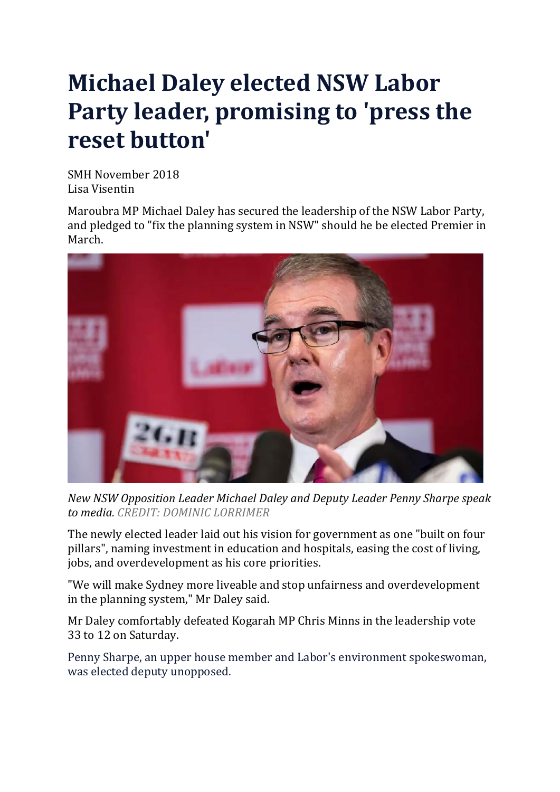## **Michael Daley elected NSW Labor Party leader, promising to 'press the reset button'**

SMH November 2018 Lisa Visentin

Maroubra MP Michael Daley has secured the leadership of the NSW Labor Party, and pledged to "fix the planning system in NSW" should he be elected Premier in March.



*New NSW Opposition Leader Michael Daley and Deputy Leader Penny Sharpe speak to media. CREDIT: DOMINIC LORRIMER*

The newly elected leader laid out his vision for government as one "built on four pillars", naming investment in education and hospitals, easing the cost of living, jobs, and overdevelopment as his core priorities.

"We will make Sydney more liveable and stop unfairness and overdevelopment in the planning system," Mr Daley said.

Mr Daley comfortably defeated Kogarah MP Chris Minns in the leadership vote 33 to 12 on Saturday.

Penny Sharpe, an upper house member and Labor's environment spokeswoman, was elected deputy unopposed.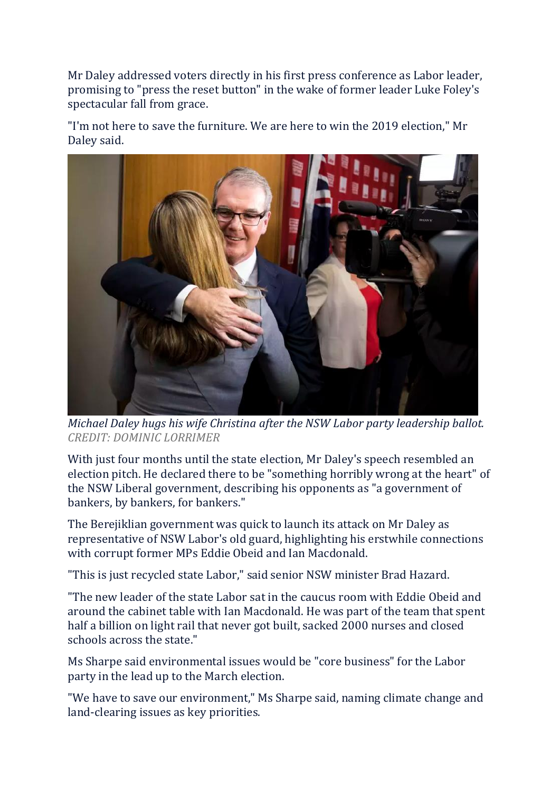Mr Daley addressed voters directly in his first press conference as Labor leader, promising to "press the reset button" in the wake of former leader Luke Foley's spectacular fall from grace.

"I'm not here to save the furniture. We are here to win the 2019 election," Mr Daley said.



*Michael Daley hugs his wife Christina after the NSW Labor party leadership ballot. CREDIT: DOMINIC LORRIMER*

With just four months until the state election, Mr Daley's speech resembled an election pitch. He declared there to be "something horribly wrong at the heart" of the NSW Liberal government, describing his opponents as "a government of bankers, by bankers, for bankers."

The Berejiklian government was quick to launch its attack on Mr Daley as representative of NSW Labor's old guard, highlighting his erstwhile connections with corrupt former MPs Eddie Obeid and Ian Macdonald.

"This is just recycled state Labor," said senior NSW minister Brad Hazard.

"The new leader of the state Labor sat in the caucus room with Eddie Obeid and around the cabinet table with Ian Macdonald. He was part of the team that spent half a billion on light rail that never got built, sacked 2000 nurses and closed schools across the state."

Ms Sharpe said environmental issues would be "core business" for the Labor party in the lead up to the March election.

"We have to save our environment," Ms Sharpe said, naming climate change and land-clearing issues as key priorities.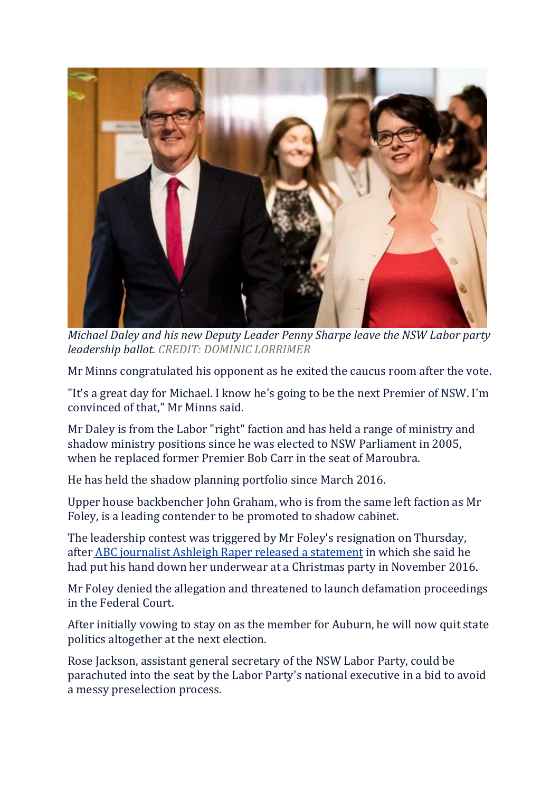

*Michael Daley and his new Deputy Leader Penny Sharpe leave the NSW Labor party leadership ballot. CREDIT: DOMINIC LORRIMER*

Mr Minns congratulated his opponent as he exited the caucus room after the vote.

"It's a great day for Michael. I know he's going to be the next Premier of NSW. I'm convinced of that," Mr Minns said.

Mr Daley is from the Labor "right" faction and has held a range of ministry and shadow ministry positions since he was elected to NSW Parliament in 2005, when he replaced former Premier Bob Carr in the seat of Maroubra.

He has held the shadow planning portfolio since March 2016.

Upper house backbencher John Graham, who is from the same left faction as Mr Foley, is a leading contender to be promoted to shadow cabinet.

The leadership contest was triggered by Mr Foley's resignation on Thursday, after ABC journalist Ashleigh Raper released a [statement](https://www.smh.com.au/link/follow-20170101-p50erf) in which she said he had put his hand down her underwear at a Christmas party in November 2016.

Mr Foley denied the allegation and threatened to launch defamation proceedings in the Federal Court.

After initially vowing to stay on as the member for Auburn, he will now quit state politics altogether at the next election.

Rose Jackson, assistant general secretary of the NSW Labor Party, could be parachuted into the seat by the Labor Party's national executive in a bid to avoid a messy preselection process.